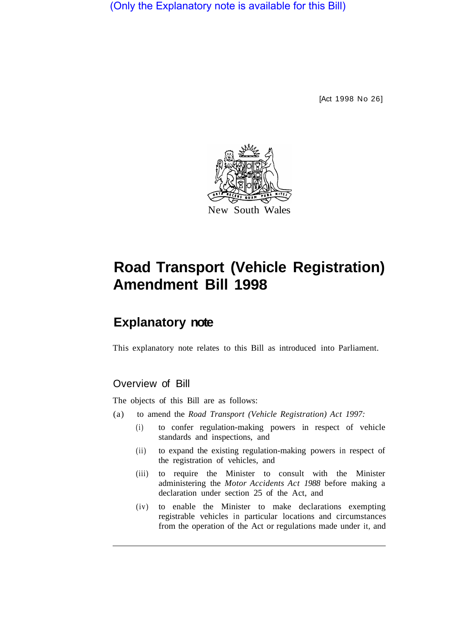(Only the Explanatory note is available for this Bill)

[Act 1998 No 26]



## **Road Transport (Vehicle Registration) Amendment Bill 1998**

## **Explanatory note**

This explanatory note relates to this Bill as introduced into Parliament.

## Overview of Bill

The objects of this Bill are as follows:

- (a) to amend the *Road Transport (Vehicle Registration) Act 1997:* 
	- (i) to confer regulation-making powers in respect of vehicle standards and inspections, and
	- (ii) to expand the existing regulation-making powers in respect of the registration of vehicles, and
	- (iii) to require the Minister to consult with the Minister administering the *Motor Accidents Act 1988* before making a declaration under section 25 of the Act, and
	- (iv) to enable the Minister to make declarations exempting registrable vehicles in particular locations and circumstances from the operation of the Act or regulations made under it, and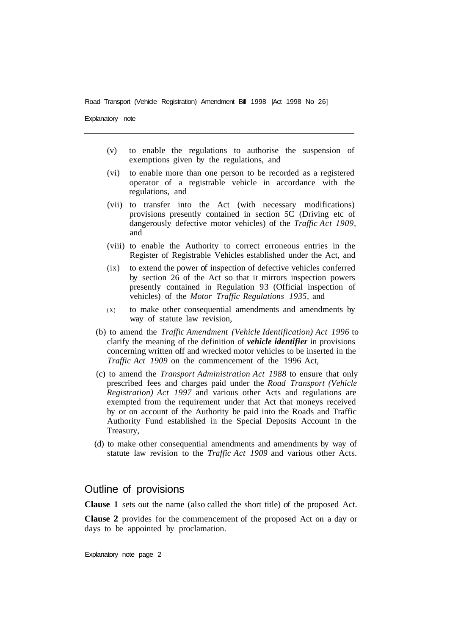Road Transport (Vehicle Registration) Amendment Bill 1998 [Act 1998 No 26]

Explanatory note

- (v) to enable the regulations to authorise the suspension of exemptions given by the regulations, and
- (vi) to enable more than one person to be recorded as a registered operator of a registrable vehicle in accordance with the regulations, and
- (vii) to transfer into the Act (with necessary modifications) provisions presently contained in section 5C (Driving etc of dangerously defective motor vehicles) of the *Traffic Act 1909,*  and
- (viii) to enable the Authority to correct erroneous entries in the Register of Registrable Vehicles established under the Act, and
- (ix) to extend the power of inspection of defective vehicles conferred by section 26 of the Act so that it mirrors inspection powers presently contained in Regulation 93 (Official inspection of vehicles) of the *Motor Traffic Regulations 1935,* and
- (X) to make other consequential amendments and amendments by way of statute law revision,
- (b) to amend the *Traffic Amendment (Vehicle Identification) Act 1996* to clarify the meaning of the definition of *vehicle identifier* in provisions concerning written off and wrecked motor vehicles to be inserted in the *Traffic Act 1909* on the commencement of the 1996 Act,
- (c) to amend the *Transport Administration Act 1988* to ensure that only prescribed fees and charges paid under the *Road Transport (Vehicle Registration) Act 1997* and various other Acts and regulations are exempted from the requirement under that Act that moneys received by or on account of the Authority be paid into the Roads and Traffic Authority Fund established in the Special Deposits Account in the Treasury,
- (d) to make other consequential amendments and amendments by way of statute law revision to the *Traffic Act 1909* and various other Acts.

## Outline of provisions

**Clause 1** sets out the name (also called the short title) of the proposed Act.

**Clause 2** provides for the commencement of the proposed Act on a day or days to be appointed by proclamation.